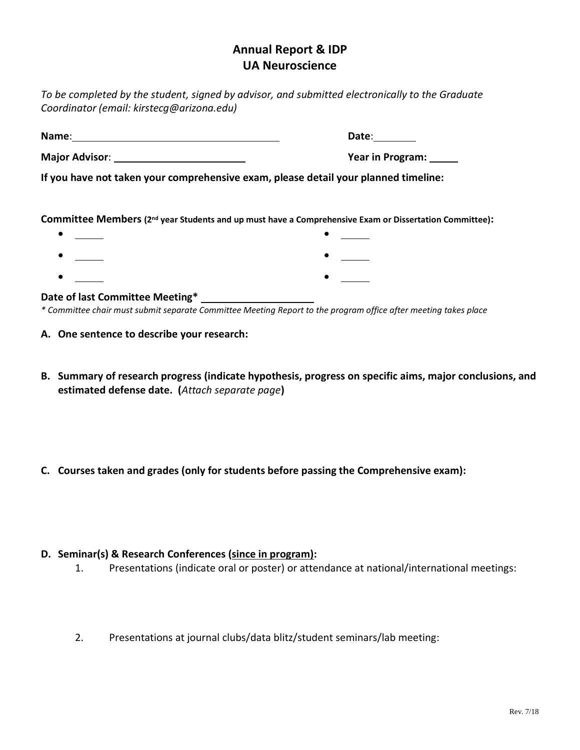# **Annual Report & IDP UA Neuroscience**

*To be completed by the student, signed by advisor, and submitted electronically to the Graduate Coordinator (email: kirstecg@arizona.edu)*

**Name**: **Date**:

**Major Advisor**: **Year in Program:** 

**If you have not taken your comprehensive exam, please detail your planned timeline:**

**Committee Members (2nd year Students and up must have a Comprehensive Exam or Dissertation Committee):**

|  | $\bullet$ |  |
|--|-----------|--|
|  | $\bullet$ |  |
|  | $\bullet$ |  |

#### **Date of last Committee Meeting\***

*\* Committee chair must submit separate Committee Meeting Report to the program office after meeting takes place*

- **A. One sentence to describe your research:**
- **B. Summary of research progress (indicate hypothesis, progress on specific aims, major conclusions, and estimated defense date. (***Attach separate page***)**
- **C. Courses taken and grades (only for students before passing the Comprehensive exam):**

## **D. Seminar(s) & Research Conferences (since in program):**

- 1. Presentations (indicate oral or poster) or attendance at national/international meetings:
- 2. Presentations at journal clubs/data blitz/student seminars/lab meeting: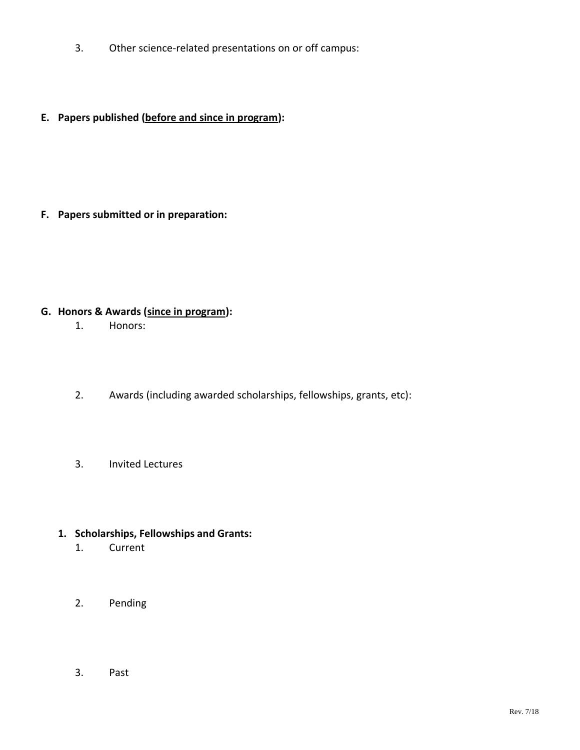- 3. Other science-related presentations on or off campus:
- **E. Papers published (before and since in program):**

**F. Papers submitted or in preparation:**

# **G. Honors & Awards (since in program):**

- 1. Honors:
- 2. Awards (including awarded scholarships, fellowships, grants, etc):
- 3. Invited Lectures
- **1. Scholarships, Fellowships and Grants:** 
	- 1. Current
	- 2. Pending
	- 3. Past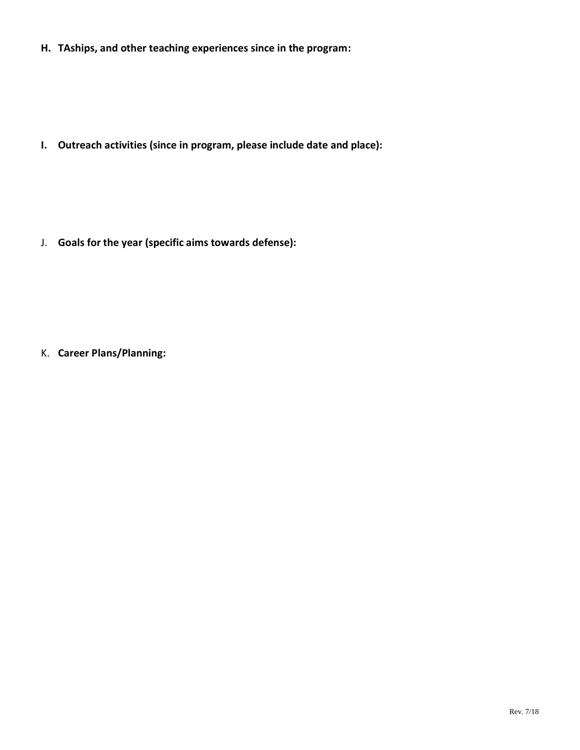**H. TAships, and other teaching experiences since in the program:**

**I. Outreach activities (since in program, please include date and place):**

J. **Goals for the year (specific aims towards defense):**

K. **Career Plans/Planning:**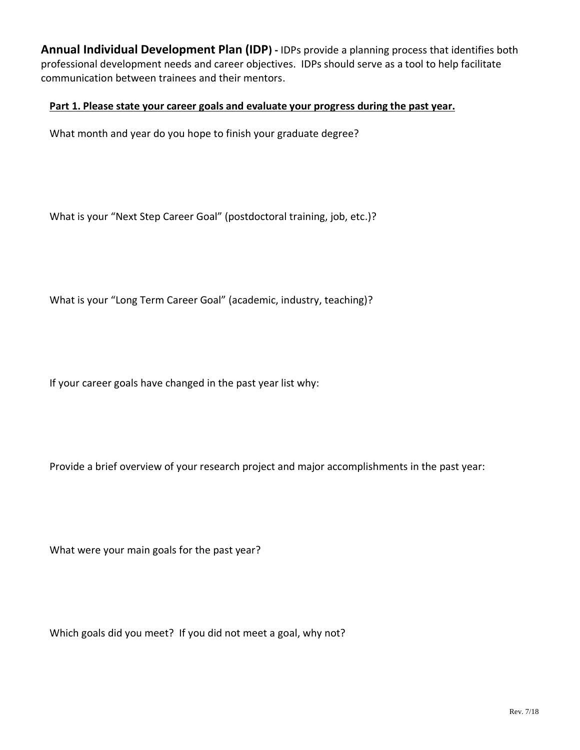**Annual Individual Development Plan (IDP) -** IDPs provide a planning process that identifies both professional development needs and career objectives. IDPs should serve as a tool to help facilitate communication between trainees and their mentors.

#### **Part 1. Please state your career goals and evaluate your progress during the past year.**

What month and year do you hope to finish your graduate degree?

What is your "Next Step Career Goal" (postdoctoral training, job, etc.)?

What is your "Long Term Career Goal" (academic, industry, teaching)?

If your career goals have changed in the past year list why:

Provide a brief overview of your research project and major accomplishments in the past year:

What were your main goals for the past year?

Which goals did you meet? If you did not meet a goal, why not?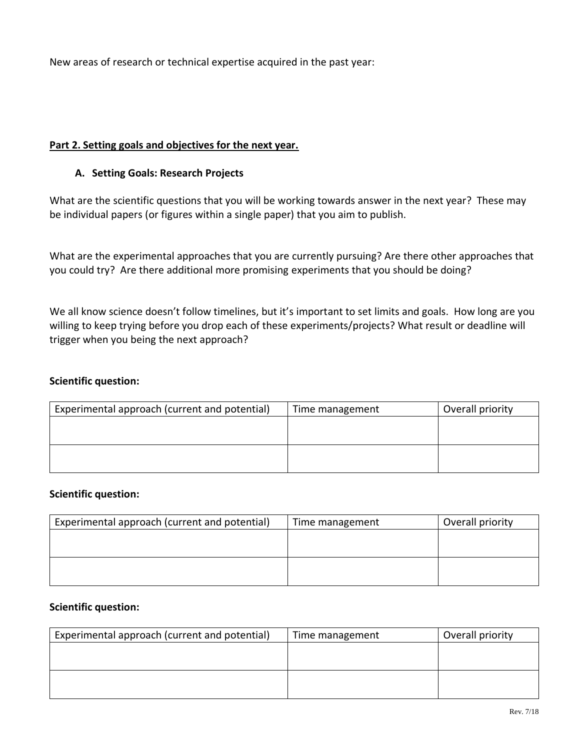New areas of research or technical expertise acquired in the past year:

### **Part 2. Setting goals and objectives for the next year.**

#### **A. Setting Goals: Research Projects**

What are the scientific questions that you will be working towards answer in the next year? These may be individual papers (or figures within a single paper) that you aim to publish.

What are the experimental approaches that you are currently pursuing? Are there other approaches that you could try? Are there additional more promising experiments that you should be doing?

We all know science doesn't follow timelines, but it's important to set limits and goals. How long are you willing to keep trying before you drop each of these experiments/projects? What result or deadline will trigger when you being the next approach?

#### **Scientific question:**

| Experimental approach (current and potential) | Time management | Overall priority |
|-----------------------------------------------|-----------------|------------------|
|                                               |                 |                  |
|                                               |                 |                  |
|                                               |                 |                  |
|                                               |                 |                  |

#### **Scientific question:**

| Experimental approach (current and potential) | Time management | Overall priority |
|-----------------------------------------------|-----------------|------------------|
|                                               |                 |                  |
|                                               |                 |                  |
|                                               |                 |                  |
|                                               |                 |                  |

#### **Scientific question:**

| Experimental approach (current and potential) | Time management | Overall priority |
|-----------------------------------------------|-----------------|------------------|
|                                               |                 |                  |
|                                               |                 |                  |
|                                               |                 |                  |
|                                               |                 |                  |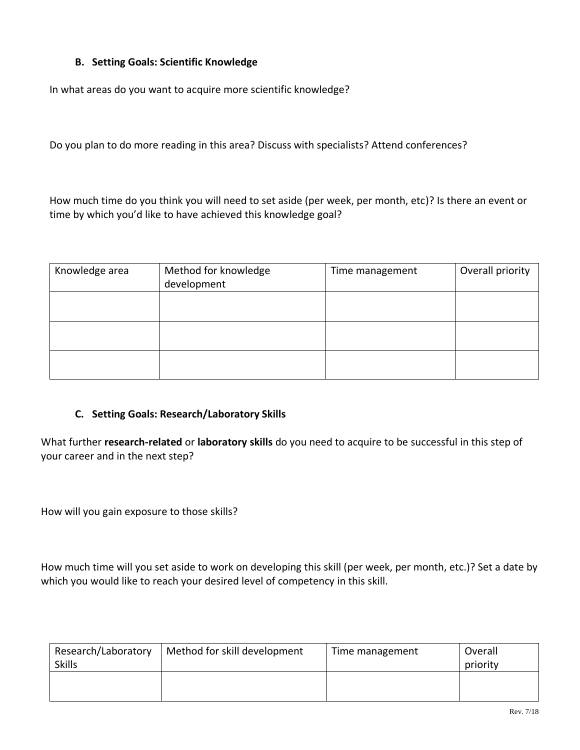# **B. Setting Goals: Scientific Knowledge**

In what areas do you want to acquire more scientific knowledge?

Do you plan to do more reading in this area? Discuss with specialists? Attend conferences?

How much time do you think you will need to set aside (per week, per month, etc)? Is there an event or time by which you'd like to have achieved this knowledge goal?

| Knowledge area | Method for knowledge<br>development | Time management | Overall priority |
|----------------|-------------------------------------|-----------------|------------------|
|                |                                     |                 |                  |
|                |                                     |                 |                  |
|                |                                     |                 |                  |

#### **C. Setting Goals: Research/Laboratory Skills**

What further **research-related** or **laboratory skills** do you need to acquire to be successful in this step of your career and in the next step?

How will you gain exposure to those skills?

How much time will you set aside to work on developing this skill (per week, per month, etc.)? Set a date by which you would like to reach your desired level of competency in this skill.

| Research/Laboratory | Method for skill development | Time management | Overall  |
|---------------------|------------------------------|-----------------|----------|
| <b>Skills</b>       |                              |                 | priority |
|                     |                              |                 |          |
|                     |                              |                 |          |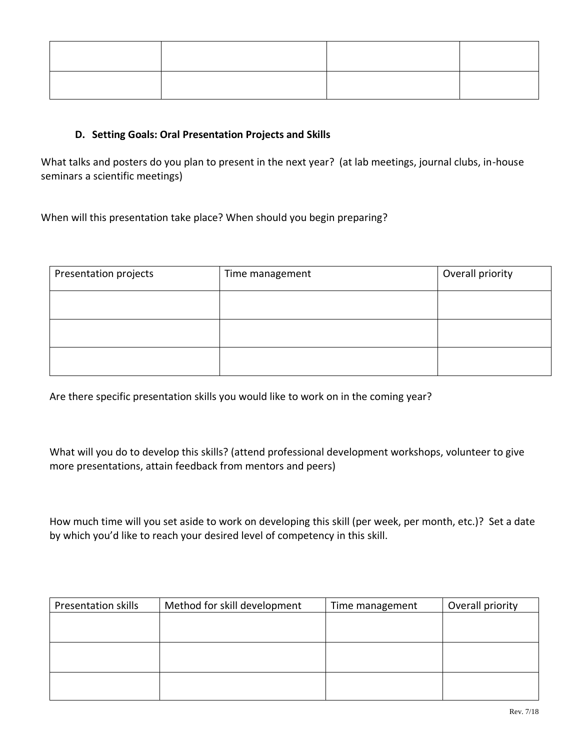### **D. Setting Goals: Oral Presentation Projects and Skills**

What talks and posters do you plan to present in the next year? (at lab meetings, journal clubs, in-house seminars a scientific meetings)

When will this presentation take place? When should you begin preparing?

| Presentation projects | Time management | Overall priority |
|-----------------------|-----------------|------------------|
|                       |                 |                  |
|                       |                 |                  |
|                       |                 |                  |

Are there specific presentation skills you would like to work on in the coming year?

What will you do to develop this skills? (attend professional development workshops, volunteer to give more presentations, attain feedback from mentors and peers)

How much time will you set aside to work on developing this skill (per week, per month, etc.)? Set a date by which you'd like to reach your desired level of competency in this skill.

| <b>Presentation skills</b> | Method for skill development | Time management | Overall priority |
|----------------------------|------------------------------|-----------------|------------------|
|                            |                              |                 |                  |
|                            |                              |                 |                  |
|                            |                              |                 |                  |
|                            |                              |                 |                  |
|                            |                              |                 |                  |
|                            |                              |                 |                  |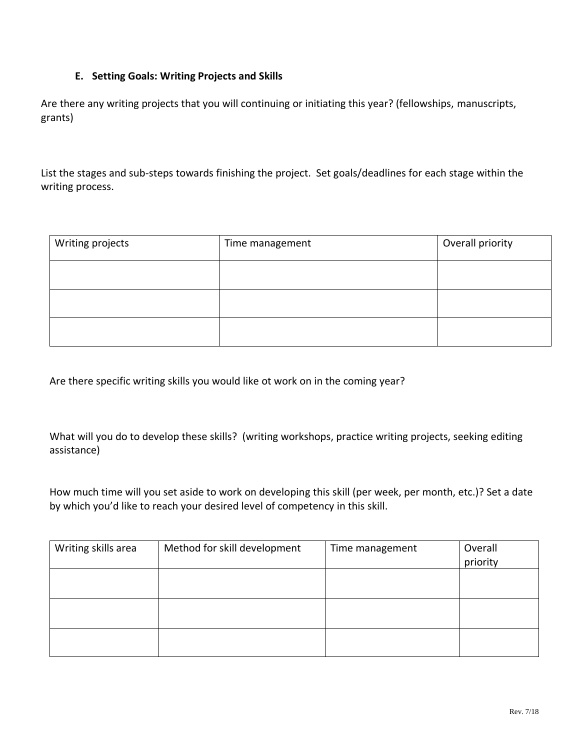# **E. Setting Goals: Writing Projects and Skills**

Are there any writing projects that you will continuing or initiating this year? (fellowships, manuscripts, grants)

List the stages and sub-steps towards finishing the project. Set goals/deadlines for each stage within the writing process.

| Writing projects | Time management | Overall priority |
|------------------|-----------------|------------------|
|                  |                 |                  |
|                  |                 |                  |
|                  |                 |                  |

Are there specific writing skills you would like ot work on in the coming year?

What will you do to develop these skills? (writing workshops, practice writing projects, seeking editing assistance)

How much time will you set aside to work on developing this skill (per week, per month, etc.)? Set a date by which you'd like to reach your desired level of competency in this skill.

| Writing skills area | Method for skill development | Time management | Overall<br>priority |
|---------------------|------------------------------|-----------------|---------------------|
|                     |                              |                 |                     |
|                     |                              |                 |                     |
|                     |                              |                 |                     |
|                     |                              |                 |                     |
|                     |                              |                 |                     |
|                     |                              |                 |                     |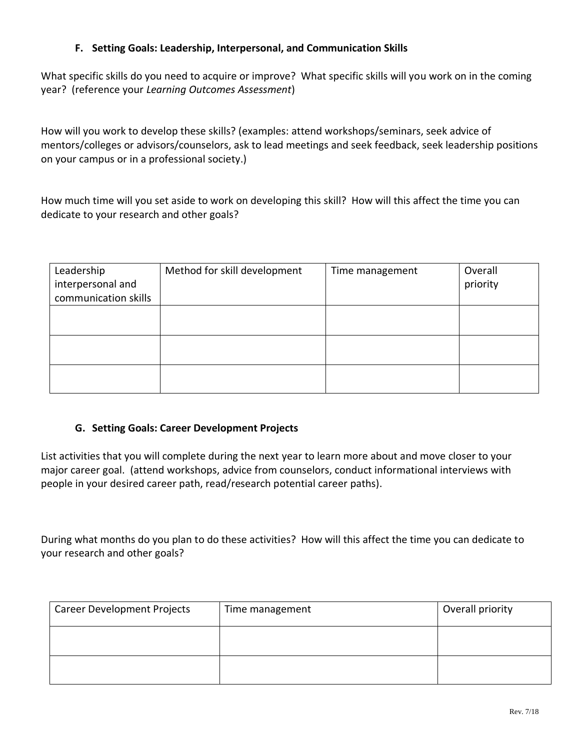### **F. Setting Goals: Leadership, Interpersonal, and Communication Skills**

What specific skills do you need to acquire or improve? What specific skills will you work on in the coming year? (reference your *Learning Outcomes Assessment*)

How will you work to develop these skills? (examples: attend workshops/seminars, seek advice of mentors/colleges or advisors/counselors, ask to lead meetings and seek feedback, seek leadership positions on your campus or in a professional society.)

How much time will you set aside to work on developing this skill? How will this affect the time you can dedicate to your research and other goals?

| Leadership<br>interpersonal and<br>communication skills | Method for skill development | Time management | Overall<br>priority |
|---------------------------------------------------------|------------------------------|-----------------|---------------------|
|                                                         |                              |                 |                     |
|                                                         |                              |                 |                     |
|                                                         |                              |                 |                     |

#### **G. Setting Goals: Career Development Projects**

List activities that you will complete during the next year to learn more about and move closer to your major career goal. (attend workshops, advice from counselors, conduct informational interviews with people in your desired career path, read/research potential career paths).

During what months do you plan to do these activities? How will this affect the time you can dedicate to your research and other goals?

| <b>Career Development Projects</b> | Time management | Overall priority |
|------------------------------------|-----------------|------------------|
|                                    |                 |                  |
|                                    |                 |                  |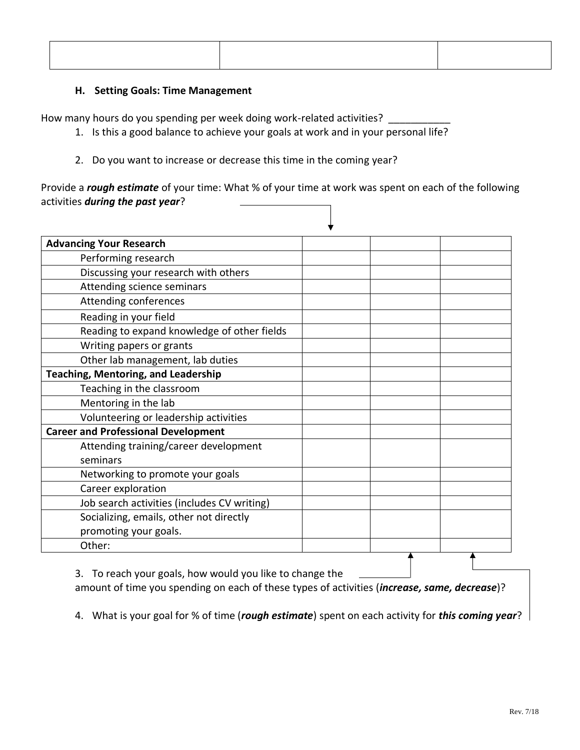#### **H. Setting Goals: Time Management**

How many hours do you spending per week doing work-related activities?

- 1. Is this a good balance to achieve your goals at work and in your personal life?
- 2. Do you want to increase or decrease this time in the coming year?

Provide a *rough estimate* of your time: What % of your time at work was spent on each of the following activities *during the past year*?

| <b>Advancing Your Research</b>              |  |  |
|---------------------------------------------|--|--|
| Performing research                         |  |  |
| Discussing your research with others        |  |  |
| Attending science seminars                  |  |  |
| Attending conferences                       |  |  |
| Reading in your field                       |  |  |
| Reading to expand knowledge of other fields |  |  |
| Writing papers or grants                    |  |  |
| Other lab management, lab duties            |  |  |
| <b>Teaching, Mentoring, and Leadership</b>  |  |  |
| Teaching in the classroom                   |  |  |
| Mentoring in the lab                        |  |  |
| Volunteering or leadership activities       |  |  |
| <b>Career and Professional Development</b>  |  |  |
| Attending training/career development       |  |  |
| seminars                                    |  |  |
| Networking to promote your goals            |  |  |
| Career exploration                          |  |  |
| Job search activities (includes CV writing) |  |  |
| Socializing, emails, other not directly     |  |  |
| promoting your goals.                       |  |  |
| Other:                                      |  |  |

3. To reach your goals, how would you like to change the

amount of time you spending on each of these types of activities (*increase, same, decrease*)?

4. What is your goal for % of time (*rough estimate*) spent on each activity for *this coming year*?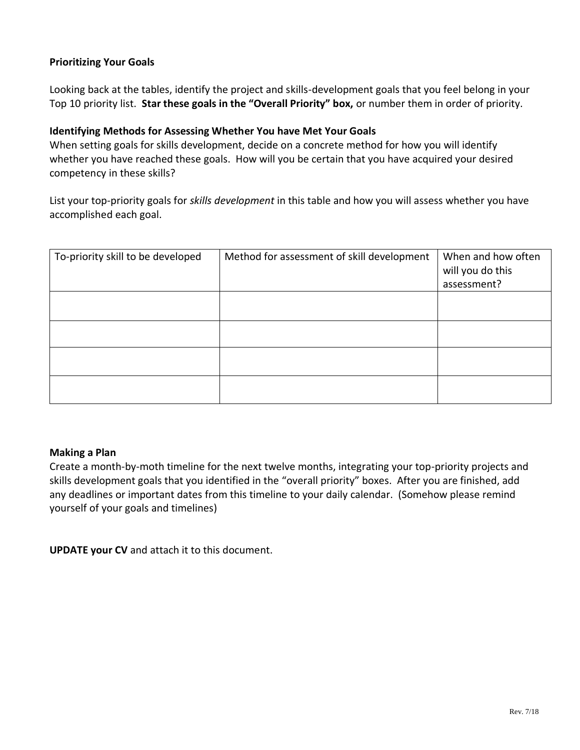### **Prioritizing Your Goals**

Looking back at the tables, identify the project and skills-development goals that you feel belong in your Top 10 priority list. **Star these goals in the "Overall Priority" box,** or number them in order of priority.

#### **Identifying Methods for Assessing Whether You have Met Your Goals**

When setting goals for skills development, decide on a concrete method for how you will identify whether you have reached these goals. How will you be certain that you have acquired your desired competency in these skills?

List your top-priority goals for *skills development* in this table and how you will assess whether you have accomplished each goal.

| To-priority skill to be developed | Method for assessment of skill development | When and how often<br>will you do this<br>assessment? |
|-----------------------------------|--------------------------------------------|-------------------------------------------------------|
|                                   |                                            |                                                       |
|                                   |                                            |                                                       |
|                                   |                                            |                                                       |
|                                   |                                            |                                                       |

#### **Making a Plan**

Create a month-by-moth timeline for the next twelve months, integrating your top-priority projects and skills development goals that you identified in the "overall priority" boxes. After you are finished, add any deadlines or important dates from this timeline to your daily calendar. (Somehow please remind yourself of your goals and timelines)

**UPDATE your CV** and attach it to this document.